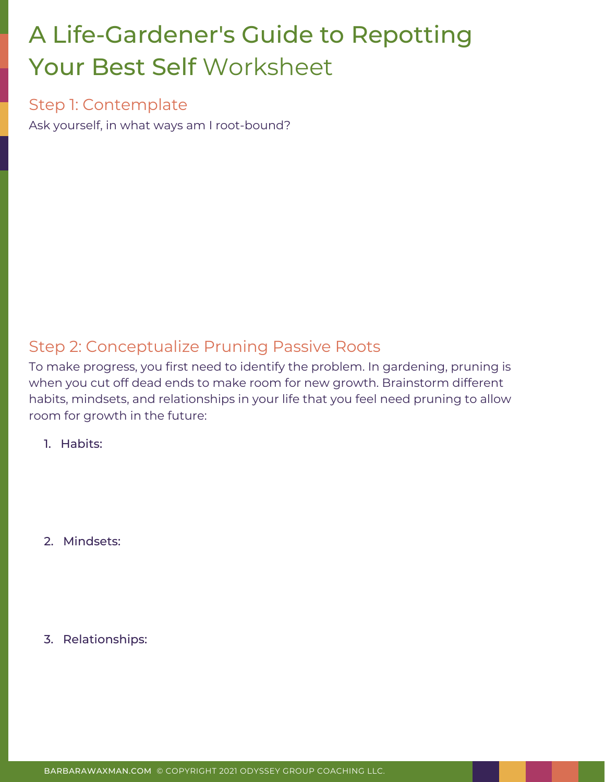# A [Life-Gardener's](https://www.ted.com/talks/barbara_waxman_the_myth_of_the_midlife_crisis?utm_campaign=tedspread&utm_medium=referral&utm_source=tedcomshare) Guide to Repotting [Your](https://www.ted.com/talks/barbara_waxman_the_myth_of_the_midlife_crisis?utm_campaign=tedspread&utm_medium=referral&utm_source=tedcomshare) Best Self Worksheet

#### Step 1: Contemplate

Ask yourself, in what ways am I root-bound?

### Step 2: Conceptualize Pruning Passive Roots

To make progress, you first need to identify the problem. In gardening, pruning is when you cut off dead ends to make room for new growth. Brainstorm different habits, mindsets, and relationships in your life that you feel need pruning to allow room for growth in the future:

1. Habits:

2. Mindsets:

3. Relationships: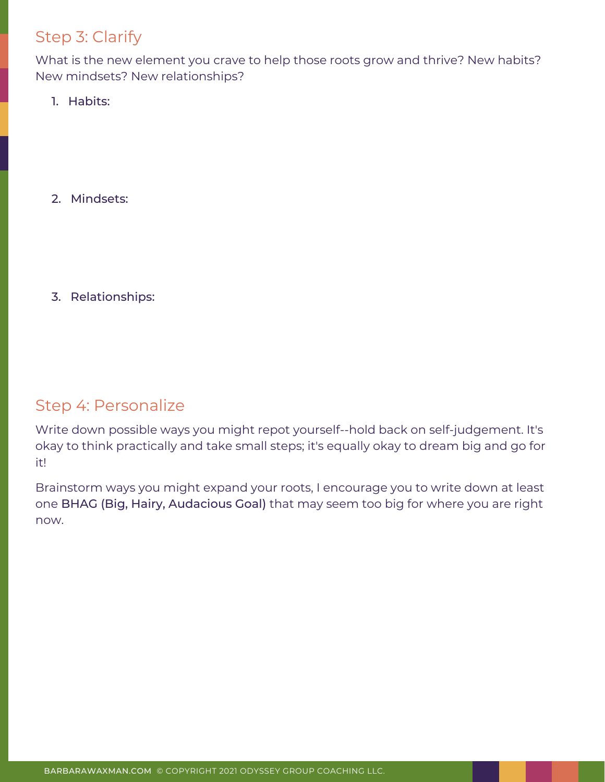# Step 3: Clarify

What is the new element you crave to help those roots grow and thrive? New habits? New mindsets? New relationships?

1. Habits:

2. Mindsets:

3. Relationships:

#### Step 4: Personalize

Write down possible ways you might repot yourself--hold back on self-judgement. It's okay to think practically and take small steps; it's equally okay to dream big and go for it!

Brainstorm ways you might expand your roots, I encourage you to write down at least one BHAG (Big, Hairy, Audacious Goal) that may seem too big for where you are right now.